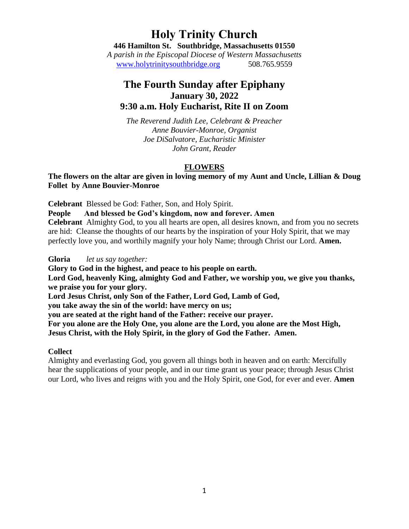## **Holy Trinity Church**

**446 Hamilton St. Southbridge, Massachusetts 01550**

*A parish in the Episcopal Diocese of Western Massachusetts* [www.holytrinitysouthbridge.org](http://www.holytrinitysouthbridge.org/) 508.765.955[9](https://www.bing.com/search?q=holyt+trinity+episcopal+church+southbridge+ma&cvid=7e7a9a9b5d0a41ca9c5ecd38b8f0b484&aqs=edge..69i57j0j69i60.12565j0j1&pglt=43&FORM=ANNTA1&PC=U531)

# **The Fourth Sunday after Epiphany January 30, 2022**

**9:30 a.m. Holy Eucharist, Rite II on Zoom**

*The Reverend Judith Lee, Celebrant & Preacher Anne Bouvier-Monroe, Organist Joe DiSalvatore, Eucharistic Minister John Grant, Reader*

## **FLOWERS**

**The flowers on the altar are given in loving memory of my Aunt and Uncle, Lillian & Doug Follet by Anne Bouvier-Monroe**

**Celebrant** Blessed be God: Father, Son, and Holy Spirit.

**People****And blessed be God's kingdom, now and forever. Amen**

**Celebrant** Almighty God, to you all hearts are open, all desires known, and from you no secrets are hid: Cleanse the thoughts of our hearts by the inspiration of your Holy Spirit, that we may perfectly love you, and worthily magnify your holy Name; through Christ our Lord. **Amen.**

**Gloria** *let us say together:*

**Glory to God in the highest, and peace to his people on earth.**

**Lord God, heavenly King, almighty God and Father, we worship you, we give you thanks, we praise you for your glory.**

**Lord Jesus Christ, only Son of the Father, Lord God, Lamb of God,**

**you take away the sin of the world: have mercy on us;**

**you are seated at the right hand of the Father: receive our prayer.**

**For you alone are the Holy One, you alone are the Lord, you alone are the Most High, Jesus Christ, with the Holy Spirit, in the glory of God the Father. Amen.**

## **Collect**

Almighty and everlasting God, you govern all things both in heaven and on earth: Mercifully hear the supplications of your people, and in our time grant us your peace; through Jesus Christ our Lord, who lives and reigns with you and the Holy Spirit, one God, for ever and ever. **Amen**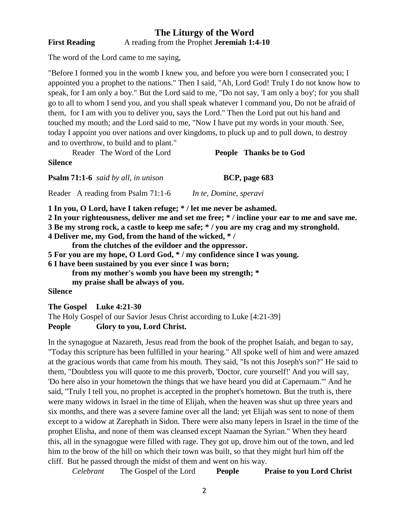#### **The Liturgy of the Word First Reading** A reading from the Prophet **Jeremiah 1:4-10**

The word of the Lord came to me saying,

"Before I formed you in the womb I knew you, and before you were born I consecrated you; I appointed you a prophet to the nations." Then I said, "Ah, Lord God! Truly I do not know how to speak, for I am only a boy." But the Lord said to me, "Do not say, 'I am only a boy'; for you shall go to all to whom I send you, and you shall speak whatever I command you, Do not be afraid of them, for I am with you to deliver you, says the Lord." Then the Lord put out his hand and touched my mouth; and the Lord said to me, "Now I have put my words in your mouth. See, today I appoint you over nations and over kingdoms, to pluck up and to pull down, to destroy and to overthrow, to build and to plant."

| Reader The Word of the Lord                | People Thanks be to God |
|--------------------------------------------|-------------------------|
| <b>Silence</b>                             |                         |
| <b>Psalm 71:1-6</b> said by all, in unison | BCP, page 683           |
| Reader A reading from Psalm 71:1-6         | In te, Domine, speravi  |

**1 In you, O Lord, have I taken refuge; \* / let me never be ashamed.**

**2 In your righteousness, deliver me and set me free; \* / incline your ear to me and save me.**

**3 Be my strong rock, a castle to keep me safe; \* / you are my crag and my stronghold.**

**4 Deliver me, my God, from the hand of the wicked, \* /** 

**from the clutches of the evildoer and the oppressor.**

**5 For you are my hope, O Lord God, \* / my confidence since I was young.**

**6 I have been sustained by you ever since I was born;**

**from my mother's womb you have been my strength; \*** 

**my praise shall be always of you.**

**Silence**

**The Gospel Luke 4:21-30** The Holy Gospel of our Savior Jesus Christ according to Luke [4:21-39] **People Glory to you, Lord Christ.**

In the synagogue at Nazareth, Jesus read from the book of the prophet Isaiah, and began to say, "Today this scripture has been fulfilled in your hearing." All spoke well of him and were amazed at the gracious words that came from his mouth. They said, "Is not this Joseph's son?" He said to them, "Doubtless you will quote to me this proverb, 'Doctor, cure yourself!' And you will say, 'Do here also in your hometown the things that we have heard you did at Capernaum.'" And he said, "Truly I tell you, no prophet is accepted in the prophet's hometown. But the truth is, there were many widows in Israel in the time of Elijah, when the heaven was shut up three years and six months, and there was a severe famine over all the land; yet Elijah was sent to none of them except to a widow at Zarephath in Sidon. There were also many lepers in Israel in the time of the prophet Elisha, and none of them was cleansed except Naaman the Syrian." When they heard this, all in the synagogue were filled with rage. They got up, drove him out of the town, and led him to the brow of the hill on which their town was built, so that they might hurl him off the cliff. But he passed through the midst of them and went on his way.

*Celebrant* The Gospel of the Lord **People Praise to you Lord Christ**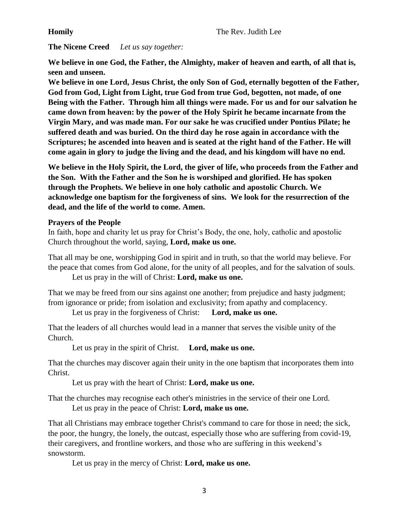**The Nicene Creed** *Let us say together:*

**We believe in one God, the Father, the Almighty, maker of heaven and earth, of all that is, seen and unseen.** 

**We believe in one Lord, Jesus Christ, the only Son of God, eternally begotten of the Father, God from God, Light from Light, true God from true God, begotten, not made, of one Being with the Father. Through him all things were made. For us and for our salvation he came down from heaven: by the power of the Holy Spirit he became incarnate from the Virgin Mary, and was made man. For our sake he was crucified under Pontius Pilate; he suffered death and was buried. On the third day he rose again in accordance with the Scriptures; he ascended into heaven and is seated at the right hand of the Father. He will come again in glory to judge the living and the dead, and his kingdom will have no end.**

**We believe in the Holy Spirit, the Lord, the giver of life, who proceeds from the Father and the Son. With the Father and the Son he is worshiped and glorified. He has spoken through the Prophets. We believe in one holy catholic and apostolic Church. We acknowledge one baptism for the forgiveness of sins. We look for the resurrection of the dead, and the life of the world to come. Amen.**

#### **Prayers of the People**

In faith, hope and charity let us pray for Christ's Body, the one, holy, catholic and apostolic Church throughout the world, saying, **Lord, make us one.**

That all may be one, worshipping God in spirit and in truth, so that the world may believe. For the peace that comes from God alone, for the unity of all peoples, and for the salvation of souls.

Let us pray in the will of Christ: **Lord, make us one.** 

That we may be freed from our sins against one another; from prejudice and hasty judgment; from ignorance or pride; from isolation and exclusivity; from apathy and complacency.

Let us pray in the forgiveness of Christ: **Lord, make us one.** 

That the leaders of all churches would lead in a manner that serves the visible unity of the Church.

Let us pray in the spirit of Christ. **Lord, make us one.** 

That the churches may discover again their unity in the one baptism that incorporates them into Christ.

Let us pray with the heart of Christ: **Lord, make us one.**

That the churches may recognise each other's ministries in the service of their one Lord.

Let us pray in the peace of Christ: **Lord, make us one.**

That all Christians may embrace together Christ's command to care for those in need; the sick, the poor, the hungry, the lonely, the outcast, especially those who are suffering from covid-19, their caregivers, and frontline workers, and those who are suffering in this weekend's snowstorm.

Let us pray in the mercy of Christ: **Lord, make us one.**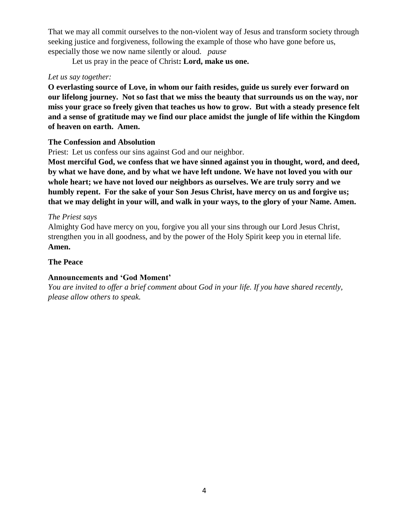That we may all commit ourselves to the non-violent way of Jesus and transform society through seeking justice and forgiveness, following the example of those who have gone before us, especially those we now name silently or aloud. *pause*

Let us pray in the peace of Christ**: Lord, make us one.**

#### *Let us say together:*

**O everlasting source of Love, in whom our faith resides, guide us surely ever forward on our lifelong journey. Not so fast that we miss the beauty that surrounds us on the way, nor miss your grace so freely given that teaches us how to grow. But with a steady presence felt and a sense of gratitude may we find our place amidst the jungle of life within the Kingdom of heaven on earth. Amen.**

#### **The Confession and Absolution**

Priest: Let us confess our sins against God and our neighbor.

**Most merciful God, we confess that we have sinned against you in thought, word, and deed, by what we have done, and by what we have left undone. We have not loved you with our whole heart; we have not loved our neighbors as ourselves. We are truly sorry and we humbly repent. For the sake of your Son Jesus Christ, have mercy on us and forgive us; that we may delight in your will, and walk in your ways, to the glory of your Name. Amen.**

#### *The Priest says*

Almighty God have mercy on you, forgive you all your sins through our Lord Jesus Christ, strengthen you in all goodness, and by the power of the Holy Spirit keep you in eternal life. **Amen.**

#### **The Peace**

## **Announcements and 'God Moment'**

*You are invited to offer a brief comment about God in your life. If you have shared recently, please allow others to speak.*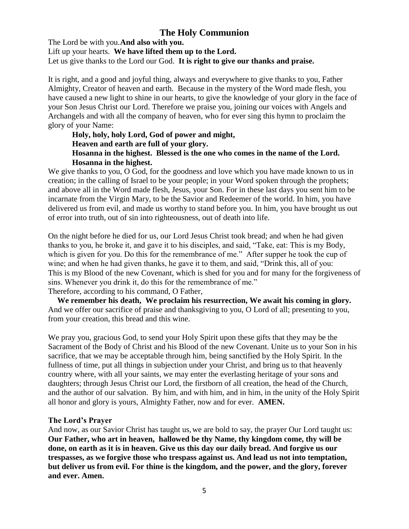## **The Holy Communion**

The Lord be with you.**And also with you.**

Lift up your hearts. **We have lifted them up to the Lord.** 

Let us give thanks to the Lord our God. **It is right to give our thanks and praise.**

It is right, and a good and joyful thing, always and everywhere to give thanks to you, Father Almighty, Creator of heaven and earth. Because in the mystery of the Word made flesh, you have caused a new light to shine in our hearts, to give the knowledge of your glory in the face of your Son Jesus Christ our Lord. Therefore we praise you, joining our voices with Angels and Archangels and with all the company of heaven, who for ever sing this hymn to proclaim the glory of your Name:

**Holy, holy, holy Lord, God of power and might, Heaven and earth are full of your glory. Hosanna in the highest. Blessed is the one who comes in the name of the Lord. Hosanna in the highest.**

We give thanks to you, O God, for the goodness and love which you have made known to us in creation; in the calling of Israel to be your people; in your Word spoken through the prophets; and above all in the Word made flesh, Jesus, your Son. For in these last days you sent him to be incarnate from the Virgin Mary, to be the Savior and Redeemer of the world. In him, you have delivered us from evil, and made us worthy to stand before you. In him, you have brought us out of error into truth, out of sin into righteousness, out of death into life.

On the night before he died for us, our Lord Jesus Christ took bread; and when he had given thanks to you, he broke it, and gave it to his disciples, and said, "Take, eat: This is my Body, which is given for you. Do this for the remembrance of me." After supper he took the cup of wine; and when he had given thanks, he gave it to them, and said, "Drink this, all of you: This is my Blood of the new Covenant, which is shed for you and for many for the forgiveness of sins. Whenever you drink it, do this for the remembrance of me."

Therefore, according to his command, O Father,

**We remember his death, We proclaim his resurrection, We await his coming in glory.** And we offer our sacrifice of praise and thanksgiving to you, O Lord of all; presenting to you, from your creation, this bread and this wine.

We pray you, gracious God, to send your Holy Spirit upon these gifts that they may be the Sacrament of the Body of Christ and his Blood of the new Covenant. Unite us to your Son in his sacrifice, that we may be acceptable through him, being sanctified by the Holy Spirit. In the fullness of time, put all things in subjection under your Christ, and bring us to that heavenly country where, with all your saints, we may enter the everlasting heritage of your sons and daughters; through Jesus Christ our Lord, the firstborn of all creation, the head of the Church, and the author of our salvation. By him, and with him, and in him, in the unity of the Holy Spirit all honor and glory is yours, Almighty Father, now and for ever. **AMEN.**

#### **The Lord's Prayer**

And now, as our Savior Christ has taught us, we are bold to say, the prayer Our Lord taught us: **Our Father, who art in heaven, hallowed be thy Name, thy kingdom come, thy will be done, on earth as it is in heaven. Give us this day our daily bread. And forgive us our trespasses, as we forgive those who trespass against us. And lead us not into temptation, but deliver us from evil. For thine is the kingdom, and the power, and the glory, forever and ever. Amen.**